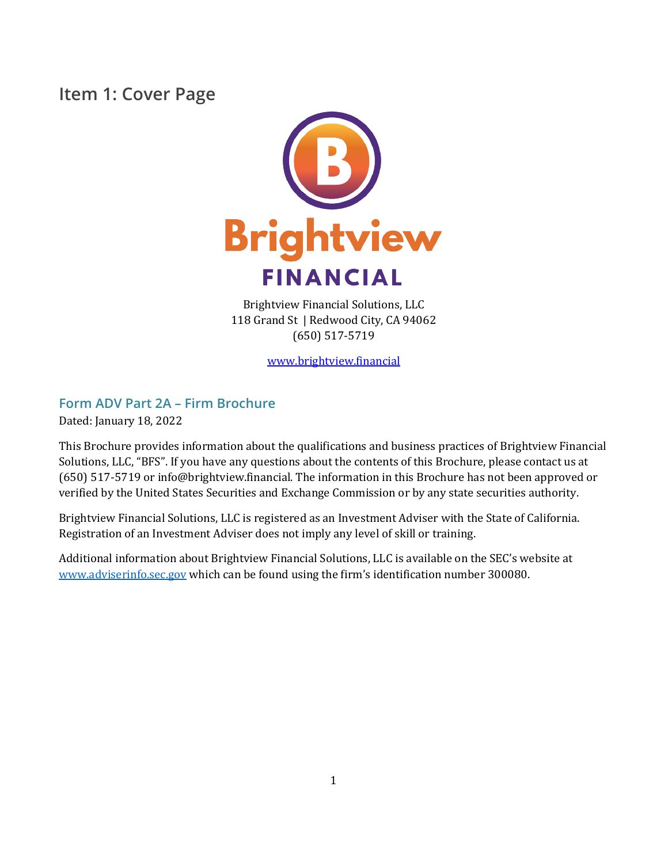### <span id="page-0-0"></span>**Item 1: Cover Page**



Brightview Financial Solutions, LLC 118 Grand St | Redwood City, CA 94062 (650) 517-5719

[www.brightview.financial](http://www.brightview.financial/)

### **Form ADV Part 2A – Firm Brochure**

Dated: January 18, 2022

This Brochure provides information about the qualifications and business practices of Brightview Financial Solutions, LLC, "BFS". If you have any questions about the contents of this Brochure, please contact us at (650) 517-5719 or info@brightview.financial. The information in this Brochure has not been approved or verified by the United States Securities and Exchange Commission or by any state securities authority.

Brightview Financial Solutions, LLC is registered as an Investment Adviser with the State of California. Registration of an Investment Adviser does not imply any level of skill or training.

Additional information about Brightview Financial Solutions, LLC is available on the SEC's website at [www.adviserinfo.sec.gov](http://www.adviserinfo.sec.gov/) which can be found using the firm's identification number 300080.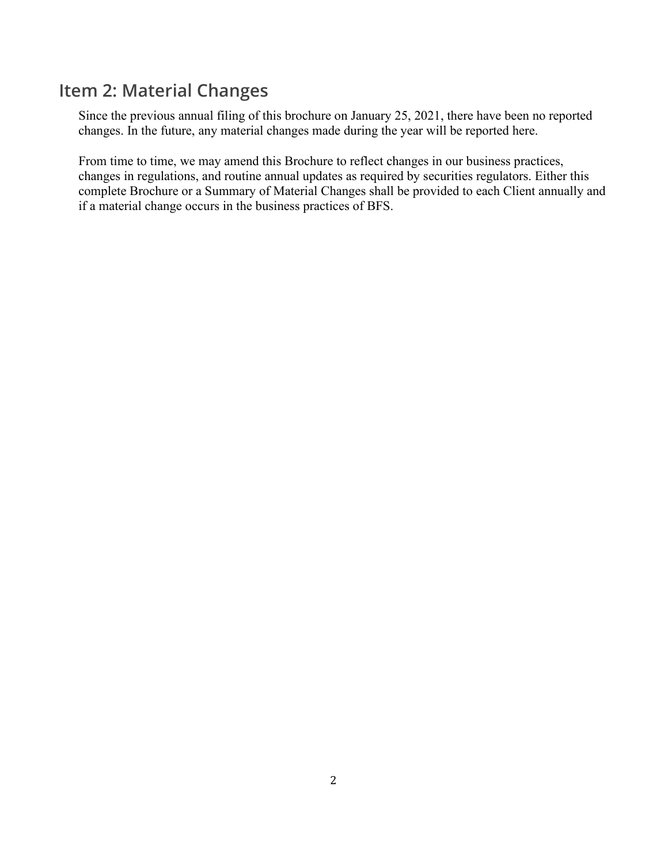### <span id="page-1-0"></span>**Item 2: Material Changes**

Since the previous annual filing of this brochure on January 25, 2021, there have been no reported changes. In the future, any material changes made during the year will be reported here.

From time to time, we may amend this Brochure to reflect changes in our business practices, changes in regulations, and routine annual updates as required by securities regulators. Either this complete Brochure or a Summary of Material Changes shall be provided to each Client annually and if a material change occurs in the business practices of BFS.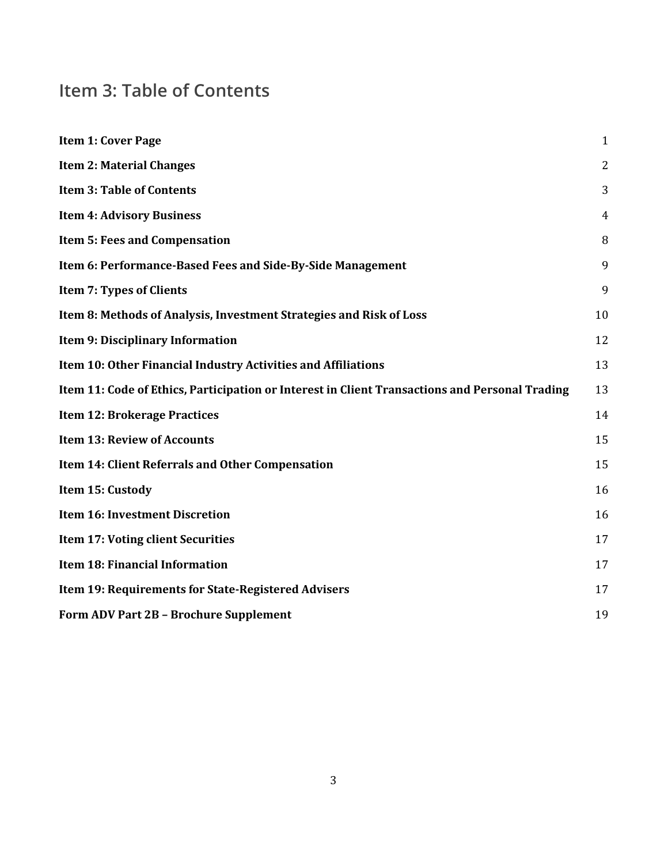# <span id="page-2-0"></span>**Item 3: Table of Contents**

| <b>Item 1: Cover Page</b>                                                                      | $\mathbf{1}$   |
|------------------------------------------------------------------------------------------------|----------------|
| <b>Item 2: Material Changes</b>                                                                | $\overline{2}$ |
| <b>Item 3: Table of Contents</b>                                                               | 3              |
| <b>Item 4: Advisory Business</b>                                                               | 4              |
| Item 5: Fees and Compensation                                                                  | 8              |
| Item 6: Performance-Based Fees and Side-By-Side Management                                     | 9              |
| <b>Item 7: Types of Clients</b>                                                                | 9              |
| Item 8: Methods of Analysis, Investment Strategies and Risk of Loss                            | 10             |
| <b>Item 9: Disciplinary Information</b>                                                        | 12             |
| Item 10: Other Financial Industry Activities and Affiliations                                  | 13             |
| Item 11: Code of Ethics, Participation or Interest in Client Transactions and Personal Trading | 13             |
| <b>Item 12: Brokerage Practices</b>                                                            | 14             |
| <b>Item 13: Review of Accounts</b>                                                             | 15             |
| Item 14: Client Referrals and Other Compensation                                               | 15             |
| Item 15: Custody                                                                               | 16             |
| <b>Item 16: Investment Discretion</b>                                                          | 16             |
| Item 17: Voting client Securities                                                              | 17             |
| <b>Item 18: Financial Information</b>                                                          | 17             |
| Item 19: Requirements for State-Registered Advisers                                            | 17             |
| Form ADV Part 2B - Brochure Supplement                                                         | 19             |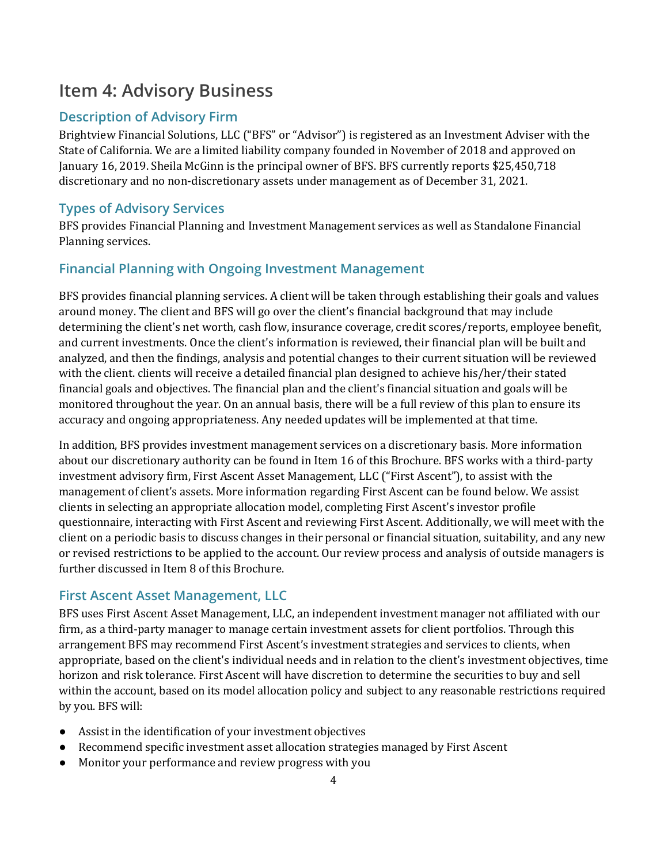## <span id="page-3-0"></span>**Item 4: Advisory Business**

### **Description of Advisory Firm**

Brightview Financial Solutions, LLC ("BFS" or "Advisor") is registered as an Investment Adviser with the State of California. We are a limited liability company founded in November of 2018 and approved on January 16, 2019. Sheila McGinn is the principal owner of BFS. BFS currently reports \$25,450,718 discretionary and no non-discretionary assets under management as of December 31, 2021.

#### **Types of Advisory Services**

BFS provides Financial Planning and Investment Management services as well as Standalone Financial Planning services.

### **Financial Planning with Ongoing Investment Management**

BFS provides financial planning services. A client will be taken through establishing their goals and values around money. The client and BFS will go over the client's financial background that may include determining the client's net worth, cash flow, insurance coverage, credit scores/reports, employee benefit, and current investments. Once the client's information is reviewed, their financial plan will be built and analyzed, and then the findings, analysis and potential changes to their current situation will be reviewed with the client. clients will receive a detailed financial plan designed to achieve his/her/their stated financial goals and objectives. The financial plan and the client's financial situation and goals will be monitored throughout the year. On an annual basis, there will be a full review of this plan to ensure its accuracy and ongoing appropriateness. Any needed updates will be implemented at that time.

In addition, BFS provides investment management services on a discretionary basis. More information about our discretionary authority can be found in Item 16 of this Brochure. BFS works with a third-party investment advisory firm, First Ascent Asset Management, LLC ("First Ascent"), to assist with the management of client's assets. More information regarding First Ascent can be found below. We assist clients in selecting an appropriate allocation model, completing First Ascent's investor profile questionnaire, interacting with First Ascent and reviewing First Ascent. Additionally, we will meet with the client on a periodic basis to discuss changes in their personal or financial situation, suitability, and any new or revised restrictions to be applied to the account. Our review process and analysis of outside managers is further discussed in Item 8 of this Brochure.

#### **First Ascent Asset Management, LLC**

BFS uses First Ascent Asset Management, LLC, an independent investment manager not affiliated with our firm, as a third-party manager to manage certain investment assets for client portfolios. Through this arrangement BFS may recommend First Ascent's investment strategies and services to clients, when appropriate, based on the client's individual needs and in relation to the client's investment objectives, time horizon and risk tolerance. First Ascent will have discretion to determine the securities to buy and sell within the account, based on its model allocation policy and subject to any reasonable restrictions required by you. BFS will:

- Assist in the identification of your investment objectives
- Recommend specific investment asset allocation strategies managed by First Ascent
- Monitor your performance and review progress with you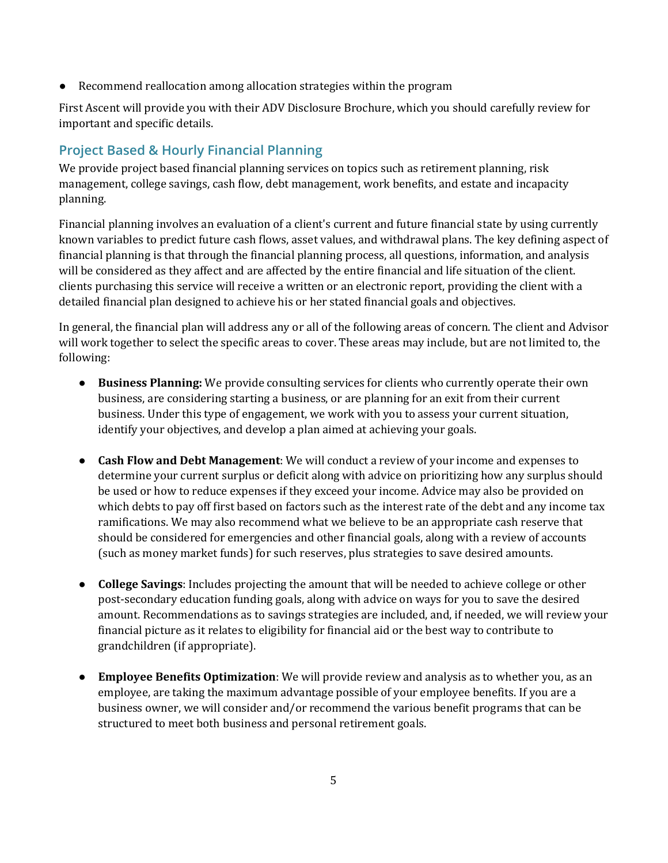Recommend reallocation among allocation strategies within the program

First Ascent will provide you with their ADV Disclosure Brochure, which you should carefully review for important and specific details.

### **Project Based & Hourly Financial Planning**

We provide project based financial planning services on topics such as retirement planning, risk management, college savings, cash flow, debt management, work benefits, and estate and incapacity planning.

Financial planning involves an evaluation of a client's current and future financial state by using currently known variables to predict future cash flows, asset values, and withdrawal plans. The key defining aspect of financial planning is that through the financial planning process, all questions, information, and analysis will be considered as they affect and are affected by the entire financial and life situation of the client. clients purchasing this service will receive a written or an electronic report, providing the client with a detailed financial plan designed to achieve his or her stated financial goals and objectives.

In general, the financial plan will address any or all of the following areas of concern. The client and Advisor will work together to select the specific areas to cover. These areas may include, but are not limited to, the following:

- **Business Planning:** We provide consulting services for clients who currently operate their own business, are considering starting a business, or are planning for an exit from their current business. Under this type of engagement, we work with you to assess your current situation, identify your objectives, and develop a plan aimed at achieving your goals.
- **Cash Flow and Debt Management**: We will conduct a review of your income and expenses to determine your current surplus or deficit along with advice on prioritizing how any surplus should be used or how to reduce expenses if they exceed your income. Advice may also be provided on which debts to pay off first based on factors such as the interest rate of the debt and any income tax ramifications. We may also recommend what we believe to be an appropriate cash reserve that should be considered for emergencies and other financial goals, along with a review of accounts (such as money market funds) for such reserves, plus strategies to save desired amounts.
- **College Savings**: Includes projecting the amount that will be needed to achieve college or other post-secondary education funding goals, along with advice on ways for you to save the desired amount. Recommendations as to savings strategies are included, and, if needed, we will review your financial picture as it relates to eligibility for financial aid or the best way to contribute to grandchildren (if appropriate).
- **Employee Benefits Optimization**: We will provide review and analysis as to whether you, as an employee, are taking the maximum advantage possible of your employee benefits. If you are a business owner, we will consider and/or recommend the various benefit programs that can be structured to meet both business and personal retirement goals.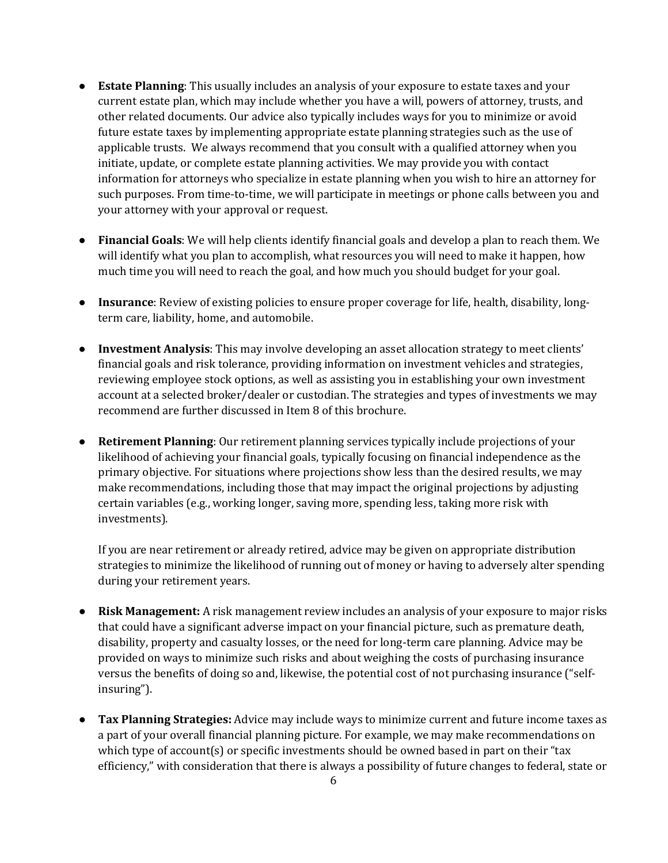- **Estate Planning**: This usually includes an analysis of your exposure to estate taxes and your current estate plan, which may include whether you have a will, powers of attorney, trusts, and other related documents. Our advice also typically includes ways for you to minimize or avoid future estate taxes by implementing appropriate estate planning strategies such as the use of applicable trusts. We always recommend that you consult with a qualified attorney when you initiate, update, or complete estate planning activities. We may provide you with contact information for attorneys who specialize in estate planning when you wish to hire an attorney for such purposes. From time-to-time, we will participate in meetings or phone calls between you and your attorney with your approval or request.
- **Financial Goals**: We will help clients identify financial goals and develop a plan to reach them. We will identify what you plan to accomplish, what resources you will need to make it happen, how much time you will need to reach the goal, and how much you should budget for your goal.
- **Insurance**: Review of existing policies to ensure proper coverage for life, health, disability, longterm care, liability, home, and automobile.
- **Investment Analysis**: This may involve developing an asset allocation strategy to meet clients' financial goals and risk tolerance, providing information on investment vehicles and strategies, reviewing employee stock options, as well as assisting you in establishing your own investment account at a selected broker/dealer or custodian. The strategies and types of investments we may recommend are further discussed in Item 8 of this brochure.
- **Retirement Planning**: Our retirement planning services typically include projections of your likelihood of achieving your financial goals, typically focusing on financial independence as the primary objective. For situations where projections show less than the desired results, we may make recommendations, including those that may impact the original projections by adjusting certain variables (e.g., working longer, saving more, spending less, taking more risk with investments).

If you are near retirement or already retired, advice may be given on appropriate distribution strategies to minimize the likelihood of running out of money or having to adversely alter spending during your retirement years.

- **Risk Management:** A risk management review includes an analysis of your exposure to major risks that could have a significant adverse impact on your financial picture, such as premature death, disability, property and casualty losses, or the need for long-term care planning. Advice may be provided on ways to minimize such risks and about weighing the costs of purchasing insurance versus the benefits of doing so and, likewise, the potential cost of not purchasing insurance ("selfinsuring").
- **Tax Planning Strategies:** Advice may include ways to minimize current and future income taxes as a part of your overall financial planning picture. For example, we may make recommendations on which type of account(s) or specific investments should be owned based in part on their "tax efficiency," with consideration that there is always a possibility of future changes to federal, state or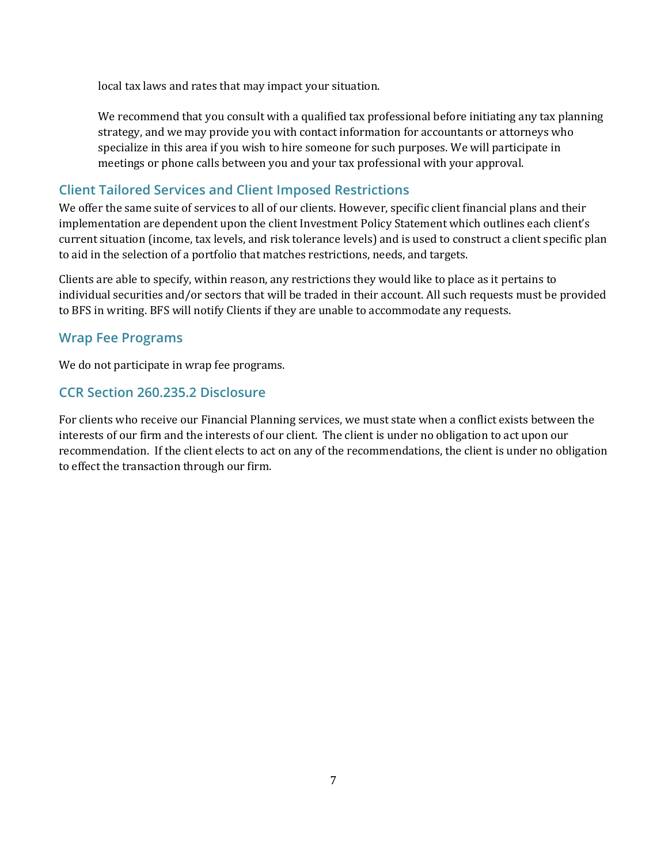local tax laws and rates that may impact your situation.

We recommend that you consult with a qualified tax professional before initiating any tax planning strategy, and we may provide you with contact information for accountants or attorneys who specialize in this area if you wish to hire someone for such purposes. We will participate in meetings or phone calls between you and your tax professional with your approval.

### **Client Tailored Services and Client Imposed Restrictions**

We offer the same suite of services to all of our clients. However, specific client financial plans and their implementation are dependent upon the client Investment Policy Statement which outlines each client's current situation (income, tax levels, and risk tolerance levels) and is used to construct a client specific plan to aid in the selection of a portfolio that matches restrictions, needs, and targets.

Clients are able to specify, within reason, any restrictions they would like to place as it pertains to individual securities and/or sectors that will be traded in their account. All such requests must be provided to BFS in writing. BFS will notify Clients if they are unable to accommodate any requests.

#### **Wrap Fee Programs**

We do not participate in wrap fee programs.

#### **CCR Section 260.235.2 Disclosure**

For clients who receive our Financial Planning services, we must state when a conflict exists between the interests of our firm and the interests of our client. The client is under no obligation to act upon our recommendation. If the client elects to act on any of the recommendations, the client is under no obligation to effect the transaction through our firm.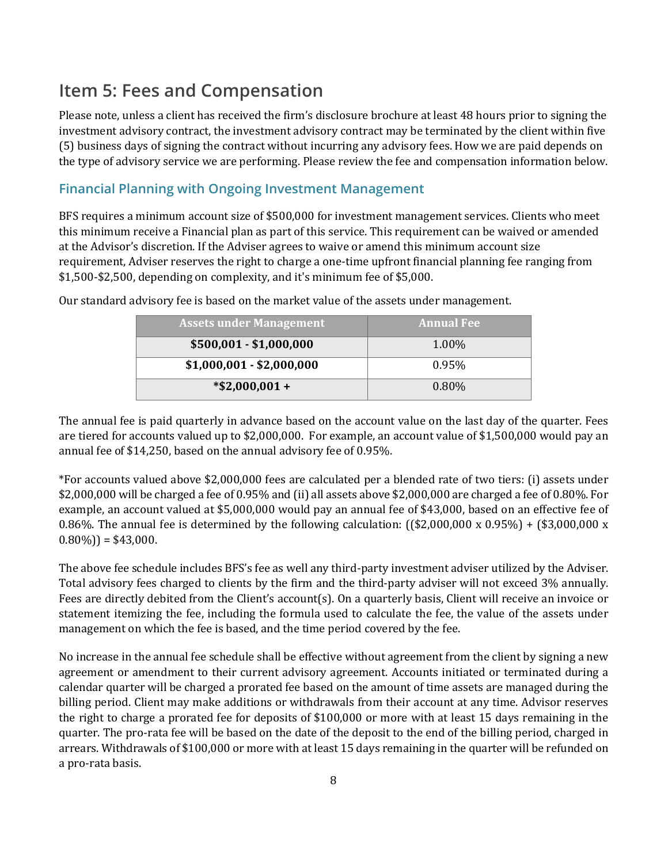## <span id="page-7-0"></span>**Item 5: Fees and Compensation**

Please note, unless a client has received the firm's disclosure brochure at least 48 hours prior to signing the investment advisory contract, the investment advisory contract may be terminated by the client within five (5) business days of signing the contract without incurring any advisory fees. How we are paid depends on the type of advisory service we are performing. Please review the fee and compensation information below.

#### **Financial Planning with Ongoing Investment Management**

BFS requires a minimum account size of \$500,000 for investment management services. Clients who meet this minimum receive a Financial plan as part of this service. This requirement can be waived or amended at the Advisor's discretion. If the Adviser agrees to waive or amend this minimum account size requirement, Adviser reserves the right to charge a one-time upfront financial planning fee ranging from \$1,500-\$2,500, depending on complexity, and it's minimum fee of \$5,000.

| <b>Assets under Management</b> | <b>Annual Fee</b> |
|--------------------------------|-------------------|
| $$500,001 - $1,000,000$        | 1.00%             |
| $$1,000,001 - $2,000,000$      | $0.95\%$          |
| $*$ \$2,000,001 +              | $0.80\%$          |

Our standard advisory fee is based on the market value of the assets under management.

The annual fee is paid quarterly in advance based on the account value on the last day of the quarter. Fees are tiered for accounts valued up to \$2,000,000. For example, an account value of \$1,500,000 would pay an annual fee of \$14,250, based on the annual advisory fee of 0.95%.

\*For accounts valued above \$2,000,000 fees are calculated per a blended rate of two tiers: (i) assets under \$2,000,000 will be charged a fee of 0.95% and (ii) all assets above \$2,000,000 are charged a fee of 0.80%. For example, an account valued at \$5,000,000 would pay an annual fee of \$43,000, based on an effective fee of 0.86%. The annual fee is determined by the following calculation:  $(($2,000,000 \times 0.95%) + ($3,000,000 \times 0.95%)$  $(0.80\%)$  = \$43,000.

The above fee schedule includes BFS's fee as well any third-party investment adviser utilized by the Adviser. Total advisory fees charged to clients by the firm and the third-party adviser will not exceed 3% annually. Fees are directly debited from the Client's account(s). On a quarterly basis, Client will receive an invoice or statement itemizing the fee, including the formula used to calculate the fee, the value of the assets under management on which the fee is based, and the time period covered by the fee.

No increase in the annual fee schedule shall be effective without agreement from the client by signing a new agreement or amendment to their current advisory agreement. Accounts initiated or terminated during a calendar quarter will be charged a prorated fee based on the amount of time assets are managed during the billing period. Client may make additions or withdrawals from their account at any time. Advisor reserves the right to charge a prorated fee for deposits of \$100,000 or more with at least 15 days remaining in the quarter. The pro-rata fee will be based on the date of the deposit to the end of the billing period, charged in arrears. Withdrawals of \$100,000 or more with at least 15 days remaining in the quarter will be refunded on a pro-rata basis.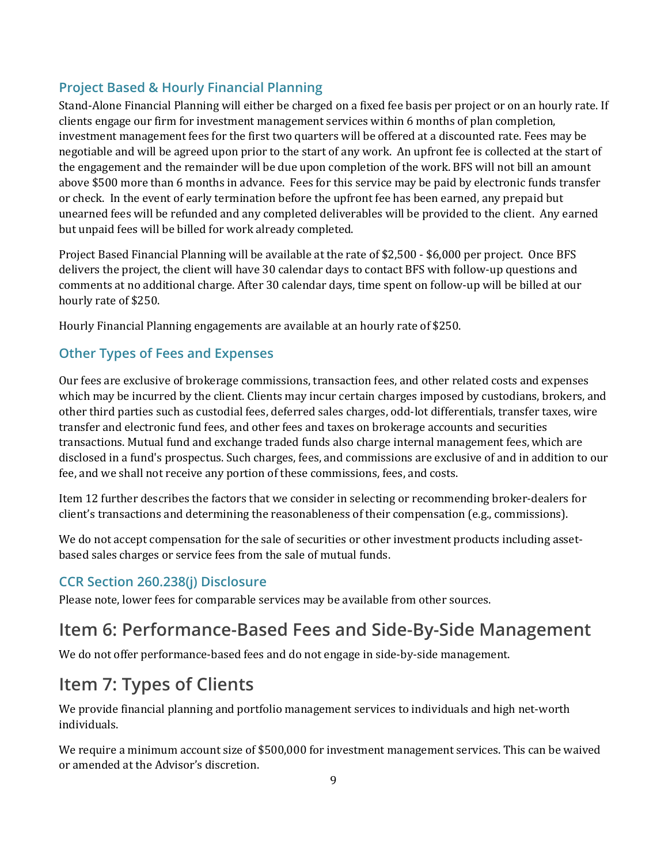### **Project Based & Hourly Financial Planning**

Stand-Alone Financial Planning will either be charged on a fixed fee basis per project or on an hourly rate. If clients engage our firm for investment management services within 6 months of plan completion, investment management fees for the first two quarters will be offered at a discounted rate. Fees may be negotiable and will be agreed upon prior to the start of any work. An upfront fee is collected at the start of the engagement and the remainder will be due upon completion of the work. BFS will not bill an amount above \$500 more than 6 months in advance. Fees for this service may be paid by electronic funds transfer or check. In the event of early termination before the upfront fee has been earned, any prepaid but unearned fees will be refunded and any completed deliverables will be provided to the client. Any earned but unpaid fees will be billed for work already completed.

Project Based Financial Planning will be available at the rate of \$2,500 - \$6,000 per project. Once BFS delivers the project, the client will have 30 calendar days to contact BFS with follow-up questions and comments at no additional charge. After 30 calendar days, time spent on follow-up will be billed at our hourly rate of \$250.

Hourly Financial Planning engagements are available at an hourly rate of \$250.

#### **Other Types of Fees and Expenses**

Our fees are exclusive of brokerage commissions, transaction fees, and other related costs and expenses which may be incurred by the client. Clients may incur certain charges imposed by custodians, brokers, and other third parties such as custodial fees, deferred sales charges, odd-lot differentials, transfer taxes, wire transfer and electronic fund fees, and other fees and taxes on brokerage accounts and securities transactions. Mutual fund and exchange traded funds also charge internal management fees, which are disclosed in a fund's prospectus. Such charges, fees, and commissions are exclusive of and in addition to our fee, and we shall not receive any portion of these commissions, fees, and costs.

Item 12 further describes the factors that we consider in selecting or recommending broker-dealers for client's transactions and determining the reasonableness of their compensation (e.g., commissions).

We do not accept compensation for the sale of securities or other investment products including assetbased sales charges or service fees from the sale of mutual funds.

#### **CCR Section 260.238(j) Disclosure**

Please note, lower fees for comparable services may be available from other sources.

## <span id="page-8-0"></span>**Item 6: Performance-Based Fees and Side-By-Side Management**

We do not offer performance-based fees and do not engage in side-by-side management.

## <span id="page-8-1"></span>**Item 7: Types of Clients**

We provide financial planning and portfolio management services to individuals and high net-worth individuals.

We require a minimum account size of \$500,000 for investment management services. This can be waived or amended at the Advisor's discretion.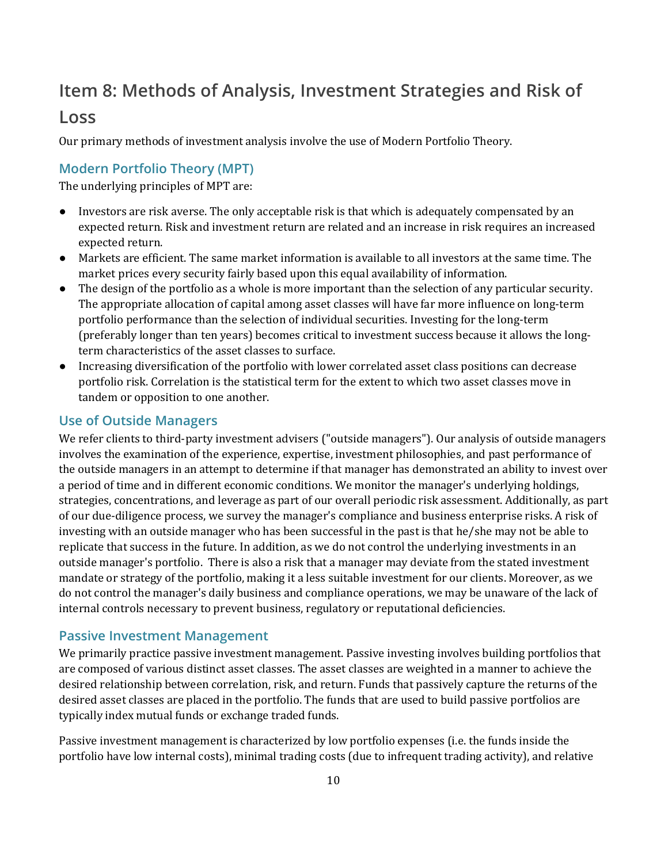## <span id="page-9-0"></span>**Item 8: Methods of Analysis, Investment Strategies and Risk of Loss**

Our primary methods of investment analysis involve the use of Modern Portfolio Theory.

#### **Modern Portfolio Theory (MPT)**

The underlying principles of MPT are:

- Investors are risk averse. The only acceptable risk is that which is adequately compensated by an expected return. Risk and investment return are related and an increase in risk requires an increased expected return.
- Markets are efficient. The same market information is available to all investors at the same time. The market prices every security fairly based upon this equal availability of information.
- The design of the portfolio as a whole is more important than the selection of any particular security. The appropriate allocation of capital among asset classes will have far more influence on long-term portfolio performance than the selection of individual securities. Investing for the long-term (preferably longer than ten years) becomes critical to investment success because it allows the longterm characteristics of the asset classes to surface.
- Increasing diversification of the portfolio with lower correlated asset class positions can decrease portfolio risk. Correlation is the statistical term for the extent to which two asset classes move in tandem or opposition to one another.

#### **Use of Outside Managers**

We refer clients to third-party investment advisers ("outside managers"). Our analysis of outside managers involves the examination of the experience, expertise, investment philosophies, and past performance of the outside managers in an attempt to determine if that manager has demonstrated an ability to invest over a period of time and in different economic conditions. We monitor the manager's underlying holdings, strategies, concentrations, and leverage as part of our overall periodic risk assessment. Additionally, as part of our due-diligence process, we survey the manager's compliance and business enterprise risks. A risk of investing with an outside manager who has been successful in the past is that he/she may not be able to replicate that success in the future. In addition, as we do not control the underlying investments in an outside manager's portfolio. There is also a risk that a manager may deviate from the stated investment mandate or strategy of the portfolio, making it a less suitable investment for our clients. Moreover, as we do not control the manager's daily business and compliance operations, we may be unaware of the lack of internal controls necessary to prevent business, regulatory or reputational deficiencies.

#### **Passive Investment Management**

We primarily practice passive investment management. Passive investing involves building portfolios that are composed of various distinct asset classes. The asset classes are weighted in a manner to achieve the desired relationship between correlation, risk, and return. Funds that passively capture the returns of the desired asset classes are placed in the portfolio. The funds that are used to build passive portfolios are typically index mutual funds or exchange traded funds.

Passive investment management is characterized by low portfolio expenses (i.e. the funds inside the portfolio have low internal costs), minimal trading costs (due to infrequent trading activity), and relative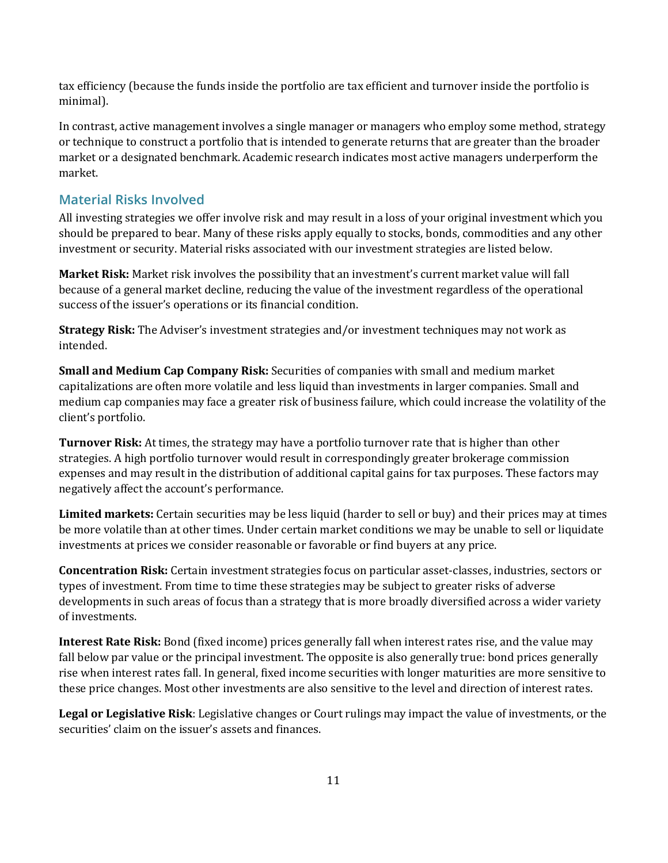tax efficiency (because the funds inside the portfolio are tax efficient and turnover inside the portfolio is minimal).

In contrast, active management involves a single manager or managers who employ some method, strategy or technique to construct a portfolio that is intended to generate returns that are greater than the broader market or a designated benchmark. Academic research indicates most active managers underperform the market.

#### **Material Risks Involved**

All investing strategies we offer involve risk and may result in a loss of your original investment which you should be prepared to bear. Many of these risks apply equally to stocks, bonds, commodities and any other investment or security. Material risks associated with our investment strategies are listed below.

**Market Risk:** Market risk involves the possibility that an investment's current market value will fall because of a general market decline, reducing the value of the investment regardless of the operational success of the issuer's operations or its financial condition.

**Strategy Risk:** The Adviser's investment strategies and/or investment techniques may not work as intended.

**Small and Medium Cap Company Risk:** Securities of companies with small and medium market capitalizations are often more volatile and less liquid than investments in larger companies. Small and medium cap companies may face a greater risk of business failure, which could increase the volatility of the client's portfolio.

**Turnover Risk:** At times, the strategy may have a portfolio turnover rate that is higher than other strategies. A high portfolio turnover would result in correspondingly greater brokerage commission expenses and may result in the distribution of additional capital gains for tax purposes. These factors may negatively affect the account's performance.

**Limited markets:** Certain securities may be less liquid (harder to sell or buy) and their prices may at times be more volatile than at other times. Under certain market conditions we may be unable to sell or liquidate investments at prices we consider reasonable or favorable or find buyers at any price.

**Concentration Risk:** Certain investment strategies focus on particular asset-classes, industries, sectors or types of investment. From time to time these strategies may be subject to greater risks of adverse developments in such areas of focus than a strategy that is more broadly diversified across a wider variety of investments.

**Interest Rate Risk:** Bond (fixed income) prices generally fall when interest rates rise, and the value may fall below par value or the principal investment. The opposite is also generally true: bond prices generally rise when interest rates fall. In general, fixed income securities with longer maturities are more sensitive to these price changes. Most other investments are also sensitive to the level and direction of interest rates.

**Legal or Legislative Risk**: Legislative changes or Court rulings may impact the value of investments, or the securities' claim on the issuer's assets and finances.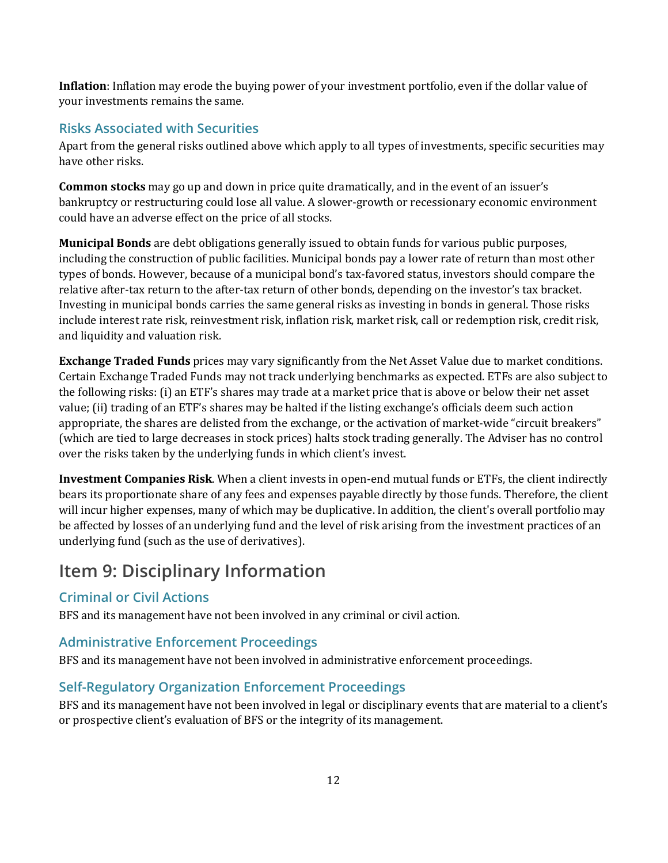**Inflation**: Inflation may erode the buying power of your investment portfolio, even if the dollar value of your investments remains the same.

#### **Risks Associated with Securities**

Apart from the general risks outlined above which apply to all types of investments, specific securities may have other risks.

**Common stocks** may go up and down in price quite dramatically, and in the event of an issuer's bankruptcy or restructuring could lose all value. A slower-growth or recessionary economic environment could have an adverse effect on the price of all stocks.

**Municipal Bonds** are debt obligations generally issued to obtain funds for various public purposes, including the construction of public facilities. Municipal bonds pay a lower rate of return than most other types of bonds. However, because of a municipal bond's tax-favored status, investors should compare the relative after-tax return to the after-tax return of other bonds, depending on the investor's tax bracket. Investing in municipal bonds carries the same general risks as investing in bonds in general. Those risks include interest rate risk, reinvestment risk, inflation risk, market risk, call or redemption risk, credit risk, and liquidity and valuation risk.

**Exchange Traded Funds** prices may vary significantly from the Net Asset Value due to market conditions. Certain Exchange Traded Funds may not track underlying benchmarks as expected. ETFs are also subject to the following risks: (i) an ETF's shares may trade at a market price that is above or below their net asset value; (ii) trading of an ETF's shares may be halted if the listing exchange's officials deem such action appropriate, the shares are delisted from the exchange, or the activation of market-wide "circuit breakers" (which are tied to large decreases in stock prices) halts stock trading generally. The Adviser has no control over the risks taken by the underlying funds in which client's invest.

**Investment Companies Risk**. When a client invests in open-end mutual funds or ETFs, the client indirectly bears its proportionate share of any fees and expenses payable directly by those funds. Therefore, the client will incur higher expenses, many of which may be duplicative. In addition, the client's overall portfolio may be affected by losses of an underlying fund and the level of risk arising from the investment practices of an underlying fund (such as the use of derivatives).

# <span id="page-11-0"></span>**Item 9: Disciplinary Information**

#### **Criminal or Civil Actions**

BFS and its management have not been involved in any criminal or civil action.

#### **Administrative Enforcement Proceedings**

BFS and its management have not been involved in administrative enforcement proceedings.

#### **Self-Regulatory Organization Enforcement Proceedings**

BFS and its management have not been involved in legal or disciplinary events that are material to a client's or prospective client's evaluation of BFS or the integrity of its management.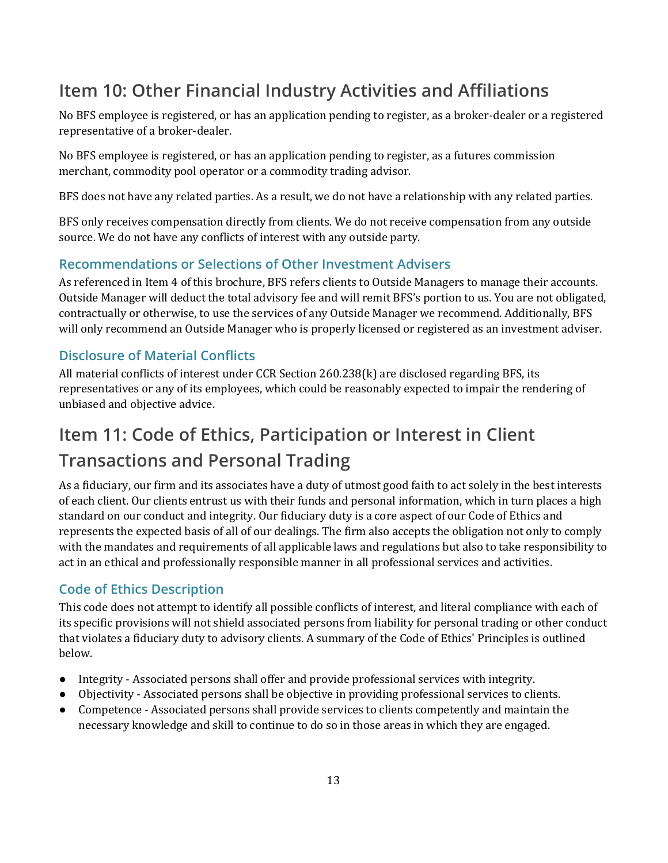# <span id="page-12-0"></span>**Item 10: Other Financial Industry Activities and Affiliations**

No BFS employee is registered, or has an application pending to register, as a broker-dealer or a registered representative of a broker-dealer.

No BFS employee is registered, or has an application pending to register, as a futures commission merchant, commodity pool operator or a commodity trading advisor.

BFS does not have any related parties. As a result, we do not have a relationship with any related parties.

BFS only receives compensation directly from clients. We do not receive compensation from any outside source. We do not have any conflicts of interest with any outside party.

### **Recommendations or Selections of Other Investment Advisers**

As referenced in Item 4 of this brochure, BFS refers clients to Outside Managers to manage their accounts. Outside Manager will deduct the total advisory fee and will remit BFS's portion to us. You are not obligated, contractually or otherwise, to use the services of any Outside Manager we recommend. Additionally, BFS will only recommend an Outside Manager who is properly licensed or registered as an investment adviser.

### **Disclosure of Material Conflicts**

All material conflicts of interest under CCR Section 260.238(k) are disclosed regarding BFS, its representatives or any of its employees, which could be reasonably expected to impair the rendering of unbiased and objective advice.

# <span id="page-12-1"></span>**Item 11: Code of Ethics, Participation or Interest in Client Transactions and Personal Trading**

As a fiduciary, our firm and its associates have a duty of utmost good faith to act solely in the best interests of each client. Our clients entrust us with their funds and personal information, which in turn places a high standard on our conduct and integrity. Our fiduciary duty is a core aspect of our Code of Ethics and represents the expected basis of all of our dealings. The firm also accepts the obligation not only to comply with the mandates and requirements of all applicable laws and regulations but also to take responsibility to act in an ethical and professionally responsible manner in all professional services and activities.

#### **Code of Ethics Description**

This code does not attempt to identify all possible conflicts of interest, and literal compliance with each of its specific provisions will not shield associated persons from liability for personal trading or other conduct that violates a fiduciary duty to advisory clients. A summary of the Code of Ethics' Principles is outlined below.

- Integrity Associated persons shall offer and provide professional services with integrity.
- Objectivity Associated persons shall be objective in providing professional services to clients.
- Competence Associated persons shall provide services to clients competently and maintain the necessary knowledge and skill to continue to do so in those areas in which they are engaged.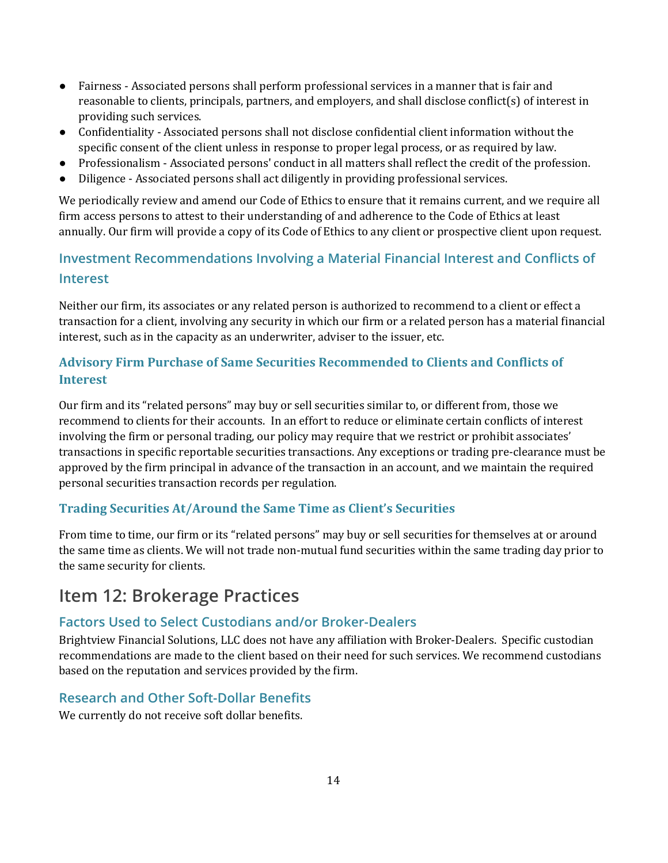- Fairness Associated persons shall perform professional services in a manner that is fair and reasonable to clients, principals, partners, and employers, and shall disclose conflict(s) of interest in providing such services.
- Confidentiality Associated persons shall not disclose confidential client information without the specific consent of the client unless in response to proper legal process, or as required by law.
- Professionalism Associated persons' conduct in all matters shall reflect the credit of the profession.
- Diligence Associated persons shall act diligently in providing professional services.

We periodically review and amend our Code of Ethics to ensure that it remains current, and we require all firm access persons to attest to their understanding of and adherence to the Code of Ethics at least annually. Our firm will provide a copy of its Code of Ethics to any client or prospective client upon request.

### **Investment Recommendations Involving a Material Financial Interest and Conflicts of Interest**

Neither our firm, its associates or any related person is authorized to recommend to a client or effect a transaction for a client, involving any security in which our firm or a related person has a material financial interest, such as in the capacity as an underwriter, adviser to the issuer, etc.

### **Advisory Firm Purchase of Same Securities Recommended to Clients and Conflicts of Interest**

Our firm and its "related persons" may buy or sell securities similar to, or different from, those we recommend to clients for their accounts. In an effort to reduce or eliminate certain conflicts of interest involving the firm or personal trading, our policy may require that we restrict or prohibit associates' transactions in specific reportable securities transactions. Any exceptions or trading pre-clearance must be approved by the firm principal in advance of the transaction in an account, and we maintain the required personal securities transaction records per regulation.

#### **Trading Securities At/Around the Same Time as Client's Securities**

From time to time, our firm or its "related persons" may buy or sell securities for themselves at or around the same time as clients. We will not trade non-mutual fund securities within the same trading day prior to the same security for clients.

## <span id="page-13-0"></span>**Item 12: Brokerage Practices**

#### **Factors Used to Select Custodians and/or Broker-Dealers**

Brightview Financial Solutions, LLC does not have any affiliation with Broker-Dealers. Specific custodian recommendations are made to the client based on their need for such services. We recommend custodians based on the reputation and services provided by the firm.

#### **Research and Other Soft-Dollar Benefits**

We currently do not receive soft dollar benefits.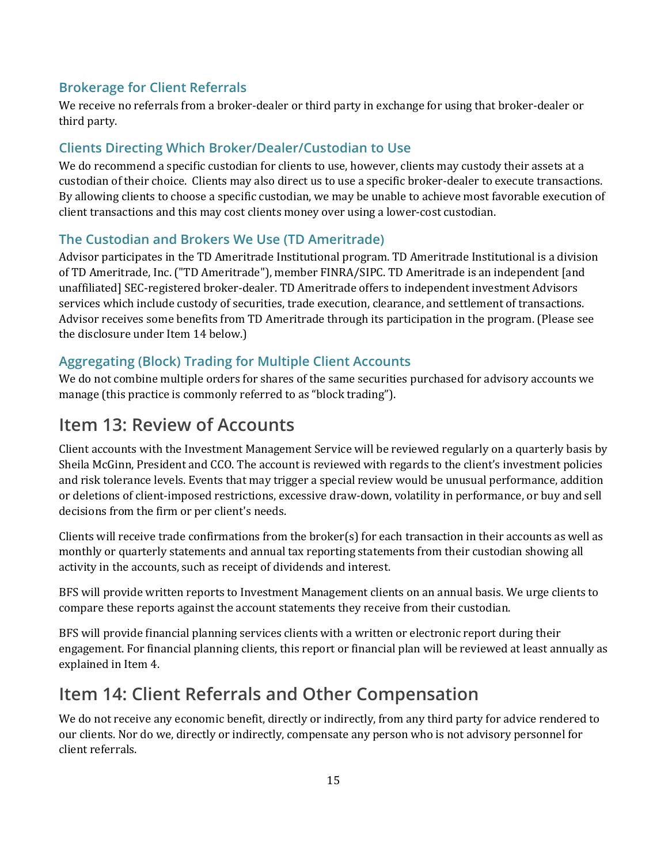#### **Brokerage for Client Referrals**

We receive no referrals from a broker-dealer or third party in exchange for using that broker-dealer or third party.

### **Clients Directing Which Broker/Dealer/Custodian to Use**

We do recommend a specific custodian for clients to use, however, clients may custody their assets at a custodian of their choice. Clients may also direct us to use a specific broker-dealer to execute transactions. By allowing clients to choose a specific custodian, we may be unable to achieve most favorable execution of client transactions and this may cost clients money over using a lower-cost custodian.

#### **The Custodian and Brokers We Use (TD Ameritrade)**

Advisor participates in the TD Ameritrade Institutional program. TD Ameritrade Institutional is a division of TD Ameritrade, Inc. ("TD Ameritrade"), member FINRA/SIPC. TD Ameritrade is an independent [and unaffiliated] SEC-registered broker-dealer. TD Ameritrade offers to independent investment Advisors services which include custody of securities, trade execution, clearance, and settlement of transactions. Advisor receives some benefits from TD Ameritrade through its participation in the program. (Please see the disclosure under Item 14 below.)

### **Aggregating (Block) Trading for Multiple Client Accounts**

We do not combine multiple orders for shares of the same securities purchased for advisory accounts we manage (this practice is commonly referred to as "block trading").

## <span id="page-14-0"></span>**Item 13: Review of Accounts**

Client accounts with the Investment Management Service will be reviewed regularly on a quarterly basis by Sheila McGinn, President and CCO. The account is reviewed with regards to the client's investment policies and risk tolerance levels. Events that may trigger a special review would be unusual performance, addition or deletions of client-imposed restrictions, excessive draw-down, volatility in performance, or buy and sell decisions from the firm or per client's needs.

Clients will receive trade confirmations from the broker(s) for each transaction in their accounts as well as monthly or quarterly statements and annual tax reporting statements from their custodian showing all activity in the accounts, such as receipt of dividends and interest.

BFS will provide written reports to Investment Management clients on an annual basis. We urge clients to compare these reports against the account statements they receive from their custodian.

BFS will provide financial planning services clients with a written or electronic report during their engagement. For financial planning clients, this report or financial plan will be reviewed at least annually as explained in Item 4.

## <span id="page-14-1"></span>**Item 14: Client Referrals and Other Compensation**

We do not receive any economic benefit, directly or indirectly, from any third party for advice rendered to our clients. Nor do we, directly or indirectly, compensate any person who is not advisory personnel for client referrals.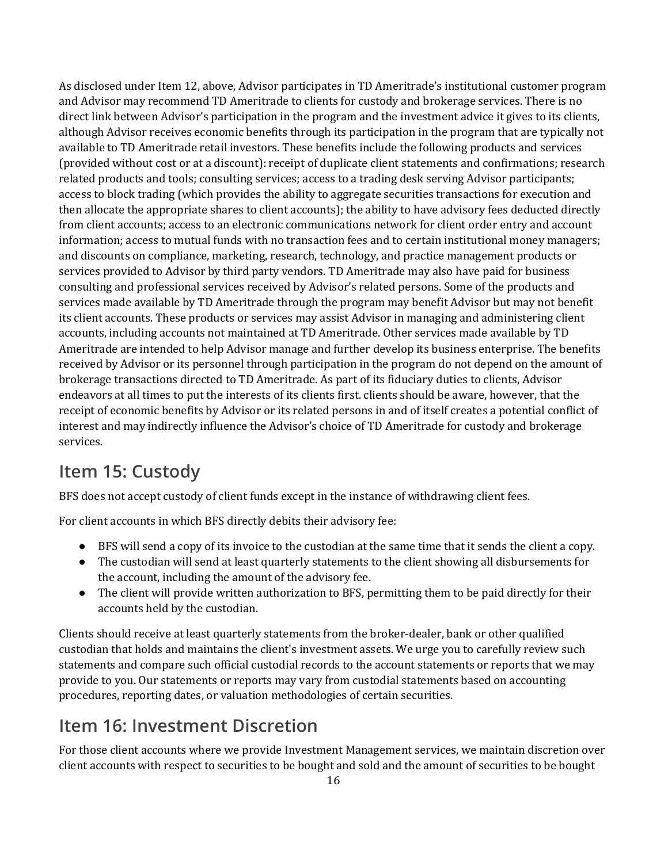As disclosed under Item 12, above, Advisor participates in TD Ameritrade's institutional customer program and Advisor may recommend TD Ameritrade to clients for custody and brokerage services. There is no direct link between Advisor's participation in the program and the investment advice it gives to its clients, although Advisor receives economic benefits through its participation in the program that are typically not available to TD Ameritrade retail investors. These benefits include the following products and services (provided without cost or at a discount): receipt of duplicate client statements and confirmations; research related products and tools; consulting services; access to a trading desk serving Advisor participants; access to block trading (which provides the ability to aggregate securities transactions for execution and then allocate the appropriate shares to client accounts); the ability to have advisory fees deducted directly from client accounts; access to an electronic communications network for client order entry and account information; access to mutual funds with no transaction fees and to certain institutional money managers; and discounts on compliance, marketing, research, technology, and practice management products or services provided to Advisor by third party vendors. TD Ameritrade may also have paid for business consulting and professional services received by Advisor's related persons. Some of the products and services made available by TD Ameritrade through the program may benefit Advisor but may not benefit its client accounts. These products or services may assist Advisor in managing and administering client accounts, including accounts not maintained at TD Ameritrade. Other services made available by TD Ameritrade are intended to help Advisor manage and further develop its business enterprise. The benefits received by Advisor or its personnel through participation in the program do not depend on the amount of brokerage transactions directed to TD Ameritrade. As part of its fiduciary duties to clients, Advisor endeavors at all times to put the interests of its clients first. clients should be aware, however, that the receipt of economic benefits by Advisor or its related persons in and of itself creates a potential conflict of interest and may indirectly influence the Advisor's choice of TD Ameritrade for custody and brokerage services.

# <span id="page-15-0"></span>**Item 15: Custody**

BFS does not accept custody of client funds except in the instance of withdrawing client fees.

For client accounts in which BFS directly debits their advisory fee:

- BFS will send a copy of its invoice to the custodian at the same time that it sends the client a copy.
- The custodian will send at least quarterly statements to the client showing all disbursements for the account, including the amount of the advisory fee.
- The client will provide written authorization to BFS, permitting them to be paid directly for their accounts held by the custodian.

Clients should receive at least quarterly statements from the broker-dealer, bank or other qualified custodian that holds and maintains the client's investment assets. We urge you to carefully review such statements and compare such official custodial records to the account statements or reports that we may provide to you. Our statements or reports may vary from custodial statements based on accounting procedures, reporting dates, or valuation methodologies of certain securities.

## <span id="page-15-1"></span>**Item 16: Investment Discretion**

For those client accounts where we provide Investment Management services, we maintain discretion over client accounts with respect to securities to be bought and sold and the amount of securities to be bought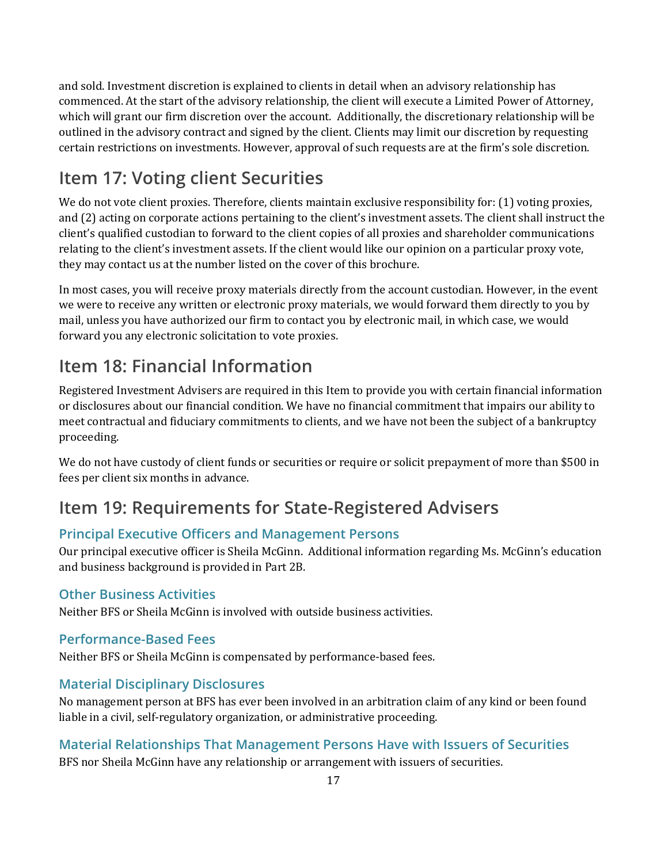and sold. Investment discretion is explained to clients in detail when an advisory relationship has commenced. At the start of the advisory relationship, the client will execute a Limited Power of Attorney, which will grant our firm discretion over the account. Additionally, the discretionary relationship will be outlined in the advisory contract and signed by the client. Clients may limit our discretion by requesting certain restrictions on investments. However, approval of such requests are at the firm's sole discretion.

# <span id="page-16-0"></span>**Item 17: Voting client Securities**

We do not vote client proxies. Therefore, clients maintain exclusive responsibility for: (1) voting proxies, and (2) acting on corporate actions pertaining to the client's investment assets. The client shall instruct the client's qualified custodian to forward to the client copies of all proxies and shareholder communications relating to the client's investment assets. If the client would like our opinion on a particular proxy vote, they may contact us at the number listed on the cover of this brochure.

In most cases, you will receive proxy materials directly from the account custodian. However, in the event we were to receive any written or electronic proxy materials, we would forward them directly to you by mail, unless you have authorized our firm to contact you by electronic mail, in which case, we would forward you any electronic solicitation to vote proxies.

# <span id="page-16-1"></span>**Item 18: Financial Information**

Registered Investment Advisers are required in this Item to provide you with certain financial information or disclosures about our financial condition. We have no financial commitment that impairs our ability to meet contractual and fiduciary commitments to clients, and we have not been the subject of a bankruptcy proceeding.

We do not have custody of client funds or securities or require or solicit prepayment of more than \$500 in fees per client six months in advance.

# <span id="page-16-2"></span>**Item 19: Requirements for State-Registered Advisers**

### **Principal Executive Officers and Management Persons**

Our principal executive officer is Sheila McGinn. Additional information regarding Ms. McGinn's education and business background is provided in Part 2B.

#### **Other Business Activities**

Neither BFS or Sheila McGinn is involved with outside business activities.

### **Performance-Based Fees**

Neither BFS or Sheila McGinn is compensated by performance-based fees.

### **Material Disciplinary Disclosures**

No management person at BFS has ever been involved in an arbitration claim of any kind or been found liable in a civil, self-regulatory organization, or administrative proceeding.

### **Material Relationships That Management Persons Have with Issuers of Securities**

BFS nor Sheila McGinn have any relationship or arrangement with issuers of securities.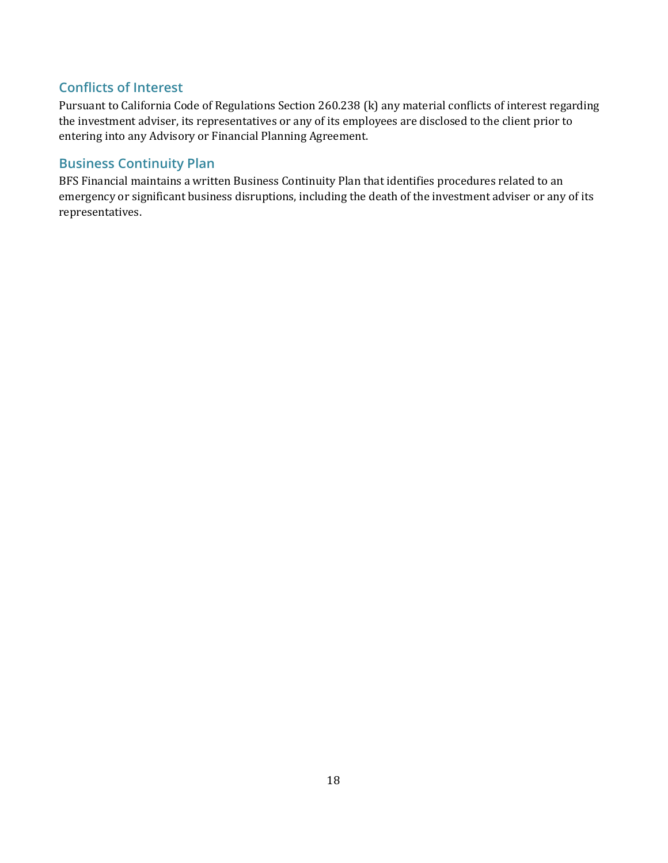### **Conflicts of Interest**

Pursuant to California Code of Regulations Section 260.238 (k) any material conflicts of interest regarding the investment adviser, its representatives or any of its employees are disclosed to the client prior to entering into any Advisory or Financial Planning Agreement.

### **Business Continuity Plan**

BFS Financial maintains a written Business Continuity Plan that identifies procedures related to an emergency or significant business disruptions, including the death of the investment adviser or any of its representatives.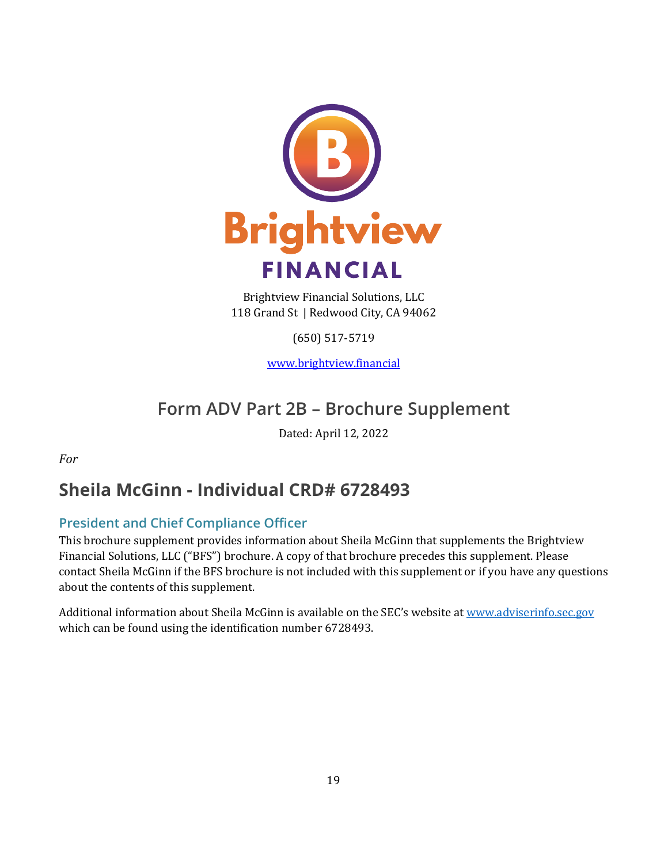

Brightview Financial Solutions, LLC 118 Grand St | Redwood City, CA 94062

(650) 517-5719

[www.brightview.financial](http://www.brightview.financial/)

# **Form ADV Part 2B – Brochure Supplement**

Dated: April 12, 2022

<span id="page-18-0"></span>*For*

# **Sheila McGinn - Individual CRD# 6728493**

### **President and Chief Compliance Officer**

This brochure supplement provides information about Sheila McGinn that supplements the Brightview Financial Solutions, LLC ("BFS") brochure. A copy of that brochure precedes this supplement. Please contact Sheila McGinn if the BFS brochure is not included with this supplement or if you have any questions about the contents of this supplement.

Additional information about Sheila McGinn is available on the SEC's website a[t www.adviserinfo.sec.gov](http://www.adviserinfo.sec.gov/) which can be found using the identification number 6728493.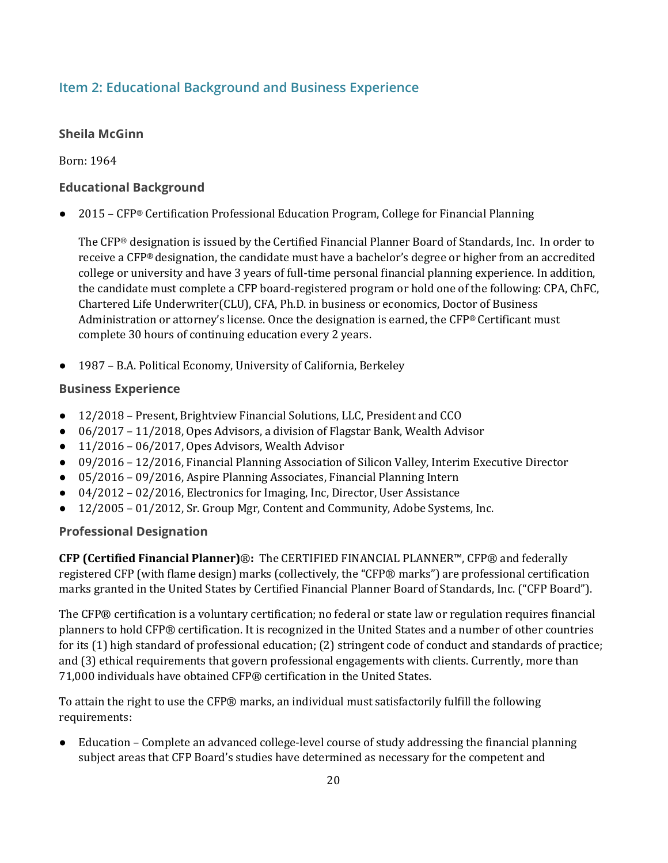#### **Item 2: Educational Background and Business Experience**

#### **Sheila McGinn**

Born: 1964

#### **Educational Background**

● 2015 – CFP® Certification Professional Education Program, College for Financial Planning

The CFP® designation is issued by the Certified Financial Planner Board of Standards, Inc. In order to receive a CFP® designation, the candidate must have a bachelor's degree or higher from an accredited college or university and have 3 years of full-time personal financial planning experience. In addition, the candidate must complete a CFP board-registered program or hold one of the following: CPA, ChFC, Chartered Life Underwriter(CLU), CFA, Ph.D. in business or economics, Doctor of Business Administration or attorney's license. Once the designation is earned, the CFP® Certificant must complete 30 hours of continuing education every 2 years.

● 1987 – B.A. Political Economy, University of California, Berkeley

#### **Business Experience**

- 12/2018 Present, Brightview Financial Solutions, LLC, President and CCO
- 06/2017 11/2018, Opes Advisors, a division of Flagstar Bank, Wealth Advisor
- 11/2016 06/2017, Opes Advisors, Wealth Advisor
- 09/2016 12/2016, Financial Planning Association of Silicon Valley, Interim Executive Director
- 05/2016 09/2016, Aspire Planning Associates, Financial Planning Intern
- 04/2012 02/2016, Electronics for Imaging, Inc, Director, User Assistance
- 12/2005 01/2012, Sr. Group Mgr, Content and Community, Adobe Systems, Inc.

#### **Professional Designation**

**CFP (Certified Financial Planner)**®**:** The CERTIFIED FINANCIAL PLANNER™, CFP® and federally registered CFP (with flame design) marks (collectively, the "CFP® marks") are professional certification marks granted in the United States by Certified Financial Planner Board of Standards, Inc. ("CFP Board").

The CFP® certification is a voluntary certification; no federal or state law or regulation requires financial planners to hold CFP® certification. It is recognized in the United States and a number of other countries for its (1) high standard of professional education; (2) stringent code of conduct and standards of practice; and (3) ethical requirements that govern professional engagements with clients. Currently, more than 71,000 individuals have obtained CFP® certification in the United States.

To attain the right to use the CFP® marks, an individual must satisfactorily fulfill the following requirements:

Education – Complete an advanced college-level course of study addressing the financial planning subject areas that CFP Board's studies have determined as necessary for the competent and